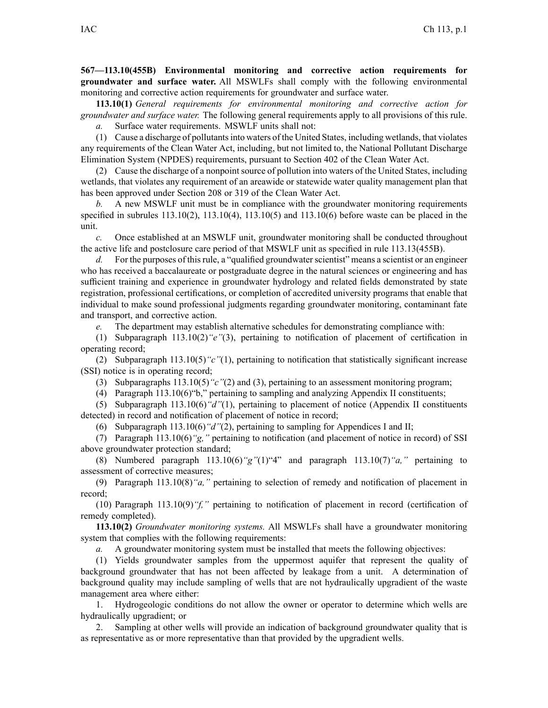**567—113.10(455B) Environmental monitoring and corrective action requirements for groundwater and surface water.** All MSWLFs shall comply with the following environmental monitoring and corrective action requirements for groundwater and surface water.

**113.10(1)** *General requirements for environmental monitoring and corrective action for groundwater and surface water.* The following general requirements apply to all provisions of this rule. *a.* Surface water requirements. MSWLF units shall not:

(1) Cause <sup>a</sup> discharge of pollutantsinto waters of the United States, including wetlands, that violates any requirements of the Clean Water Act, including, but not limited to, the National Pollutant Discharge Elimination System (NPDES) requirements, pursuan<sup>t</sup> to Section 402 of the Clean Water Act.

(2) Cause the discharge of <sup>a</sup> nonpointsource of pollution into waters of the United States, including wetlands, that violates any requirement of an areawide or statewide water quality managemen<sup>t</sup> plan that has been approved under Section 208 or 319 of the Clean Water Act.

*b.* A new MSWLF unit must be in compliance with the groundwater monitoring requirements specified in subrules 113.10(2), 113.10(4), 113.10(5) and 113.10(6) before waste can be placed in the unit.

*c.* Once established at an MSWLF unit, groundwater monitoring shall be conducted throughout the active life and postclosure care period of that MSWLF unit as specified in rule 113.13(455B).

*d.* For the purposes of this rule, a "qualified groundwater scientist" means a scientist or an engineer who has received <sup>a</sup> baccalaureate or postgraduate degree in the natural sciences or engineering and has sufficient training and experience in groundwater hydrology and related fields demonstrated by state registration, professional certifications, or completion of accredited university programs that enable that individual to make sound professional judgments regarding groundwater monitoring, contaminant fate and transport, and corrective action.

*e.* The department may establish alternative schedules for demonstrating compliance with:

(1) Subparagraph 113.10(2)*"e"*(3), pertaining to notification of placement of certification in operating record;

(2) Subparagraph 113.10(5)*"c"*(1), pertaining to notification that statistically significant increase (SSI) notice is in operating record;

(3) Subparagraphs 113.10(5)*"c"*(2) and (3), pertaining to an assessment monitoring program;

(4) Paragraph 113.10(6)"b," pertaining to sampling and analyzing Appendix II constituents;

(5) Subparagraph 113.10(6)*"d"*(1), pertaining to placement of notice (Appendix II constituents detected) in record and notification of placement of notice in record;

(6) Subparagraph 113.10(6)*"d"*(2), pertaining to sampling for Appendices I and II;

(7) Paragraph 113.10(6)*"g,"* pertaining to notification (and placement of notice in record) of SSI above groundwater protection standard;

(8) Numbered paragraph  $113.10(6)$  "g"(1)"4" and paragraph  $113.10(7)$ "a," pertaining to assessment of corrective measures;

(9) Paragraph 113.10(8)*"a,"* pertaining to selection of remedy and notification of placement in record;

(10) Paragraph  $113.10(9)$  "f," pertaining to notification of placement in record (certification of remedy completed).

**113.10(2)** *Groundwater monitoring systems.* All MSWLFs shall have <sup>a</sup> groundwater monitoring system that complies with the following requirements:

*a.* A groundwater monitoring system must be installed that meets the following objectives:

(1) Yields groundwater samples from the uppermos<sup>t</sup> aquifer that represen<sup>t</sup> the quality of background groundwater that has not been affected by leakage from <sup>a</sup> unit. A determination of background quality may include sampling of wells that are not hydraulically upgradient of the waste managemen<sup>t</sup> area where either:

1. Hydrogeologic conditions do not allow the owner or operator to determine which wells are hydraulically upgradient; or

2. Sampling at other wells will provide an indication of background groundwater quality that is as representative as or more representative than that provided by the upgradient wells.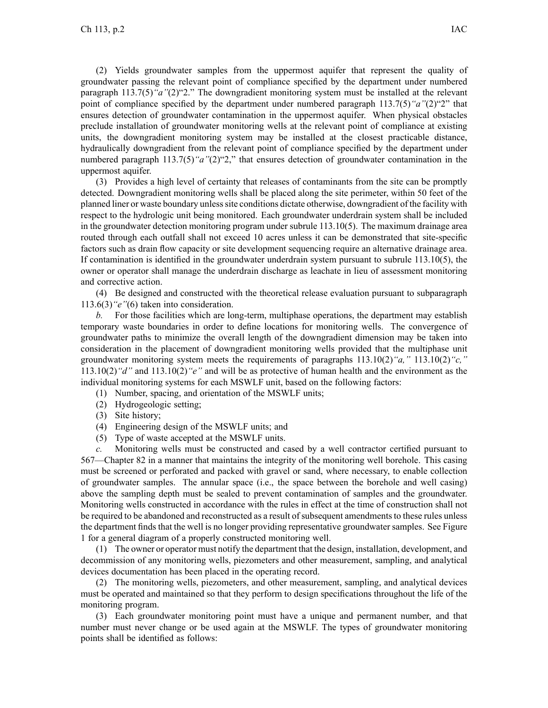(2) Yields groundwater samples from the uppermos<sup>t</sup> aquifer that represen<sup>t</sup> the quality of groundwater passing the relevant point of compliance specified by the department under numbered paragraph 113.7(5)*"a"*(2)"2." The downgradient monitoring system must be installed at the relevant point of compliance specified by the department under numbered paragraph 113.7(5)*"a"*(2)"2" that ensures detection of groundwater contamination in the uppermos<sup>t</sup> aquifer. When physical obstacles preclude installation of groundwater monitoring wells at the relevant point of compliance at existing units, the downgradient monitoring system may be installed at the closest practicable distance, hydraulically downgradient from the relevant point of compliance specified by the department under numbered paragraph 113.7(5)*"a"*(2)"2," that ensures detection of groundwater contamination in the uppermos<sup>t</sup> aquifer.

(3) Provides <sup>a</sup> high level of certainty that releases of contaminants from the site can be promptly detected. Downgradient monitoring wells shall be placed along the site perimeter, within 50 feet of the planned liner or waste boundary unlesssite conditions dictate otherwise, downgradient of the facility with respec<sup>t</sup> to the hydrologic unit being monitored. Each groundwater underdrain system shall be included in the groundwater detection monitoring program under subrule 113.10(5). The maximum drainage area routed through each outfall shall not exceed 10 acres unless it can be demonstrated that site-specific factors such as drain flow capacity or site development sequencing require an alternative drainage area. If contamination is identified in the groundwater underdrain system pursuan<sup>t</sup> to subrule 113.10(5), the owner or operator shall manage the underdrain discharge as leachate in lieu of assessment monitoring and corrective action.

(4) Be designed and constructed with the theoretical release evaluation pursuan<sup>t</sup> to subparagraph 113.6(3)*"e"*(6) taken into consideration.

*b.* For those facilities which are long-term, multiphase operations, the department may establish temporary waste boundaries in order to define locations for monitoring wells. The convergence of groundwater paths to minimize the overall length of the downgradient dimension may be taken into consideration in the placement of downgradient monitoring wells provided that the multiphase unit groundwater monitoring system meets the requirements of paragraphs 113.10(2)*"a,"* 113.10(2)*"c,"* 113.10(2)*"d"* and 113.10(2)*"e"* and will be as protective of human health and the environment as the individual monitoring systems for each MSWLF unit, based on the following factors:

- (1) Number, spacing, and orientation of the MSWLF units;
- (2) Hydrogeologic setting;
- (3) Site history;
- (4) Engineering design of the MSWLF units; and
- (5) Type of waste accepted at the MSWLF units.

*c.* Monitoring wells must be constructed and cased by <sup>a</sup> well contractor certified pursuan<sup>t</sup> to 567—Chapter 82 in <sup>a</sup> manner that maintains the integrity of the monitoring well borehole. This casing must be screened or perforated and packed with gravel or sand, where necessary, to enable collection of groundwater samples. The annular space (i.e., the space between the borehole and well casing) above the sampling depth must be sealed to preven<sup>t</sup> contamination of samples and the groundwater. Monitoring wells constructed in accordance with the rules in effect at the time of construction shall not be required to be abandoned and reconstructed as a result of subsequent amendments to these rules unless the department finds that the well is no longer providing representative groundwater samples. See Figure 1 for <sup>a</sup> general diagram of <sup>a</sup> properly constructed monitoring well.

(1) The owner or operator must notify the department that the design, installation, development, and decommission of any monitoring wells, piezometers and other measurement, sampling, and analytical devices documentation has been placed in the operating record.

(2) The monitoring wells, piezometers, and other measurement, sampling, and analytical devices must be operated and maintained so that they perform to design specifications throughout the life of the monitoring program.

(3) Each groundwater monitoring point must have <sup>a</sup> unique and permanen<sup>t</sup> number, and that number must never change or be used again at the MSWLF. The types of groundwater monitoring points shall be identified as follows: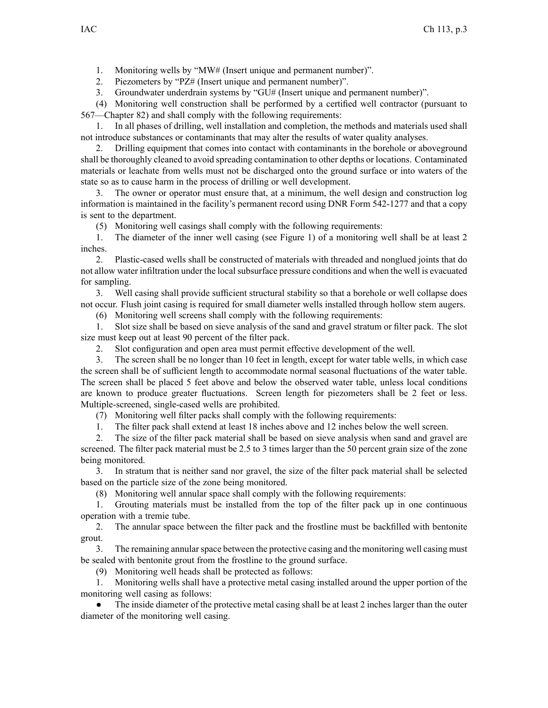1. Monitoring wells by "MW# (Insert unique and permanen<sup>t</sup> number)".

2. Piezometers by "PZ# (Insert unique and permanen<sup>t</sup> number)".

3. Groundwater underdrain systems by "GU# (Insert unique and permanen<sup>t</sup> number)".

(4) Monitoring well construction shall be performed by <sup>a</sup> certified well contractor (pursuant to 567—Chapter 82) and shall comply with the following requirements:

1. In all phases of drilling, well installation and completion, the methods and materials used shall not introduce substances or contaminants that may alter the results of water quality analyses.

2. Drilling equipment that comes into contact with contaminants in the borehole or aboveground shall be thoroughly cleaned to avoid spreading contamination to other depths or locations. Contaminated materials or leachate from wells must not be discharged onto the ground surface or into waters of the state so as to cause harm in the process of drilling or well development.

3. The owner or operator must ensure that, at <sup>a</sup> minimum, the well design and construction log information is maintained in the facility's permanen<sup>t</sup> record using DNR Form 542-1277 and that <sup>a</sup> copy is sent to the department.

(5) Monitoring well casings shall comply with the following requirements:

1. The diameter of the inner well casing (see Figure 1) of <sup>a</sup> monitoring well shall be at least 2 inches.

2. Plastic-cased wells shall be constructed of materials with threaded and nonglued joints that do not allow water infiltration under the local subsurface pressure conditions and when the well is evacuated for sampling.

3. Well casing shall provide sufficient structural stability so that <sup>a</sup> borehole or well collapse does not occur. Flush joint casing is required for small diameter wells installed through hollow stem augers.

(6) Monitoring well screens shall comply with the following requirements:

1. Slot size shall be based on sieve analysis of the sand and gravel stratum or filter pack. The slot size must keep out at least 90 percen<sup>t</sup> of the filter pack.

2. Slot configuration and open area must permit effective development of the well.

3. The screen shall be no longer than 10 feet in length, excep<sup>t</sup> for water table wells, in which case the screen shall be of sufficient length to accommodate normal seasonal fluctuations of the water table. The screen shall be placed 5 feet above and below the observed water table, unless local conditions are known to produce greater fluctuations. Screen length for piezometers shall be 2 feet or less. Multiple-screened, single-cased wells are prohibited.

(7) Monitoring well filter packs shall comply with the following requirements:

1. The filter pack shall extend at least 18 inches above and 12 inches below the well screen.

2. The size of the filter pack material shall be based on sieve analysis when sand and gravel are screened. The filter pack material must be 2.5 to 3 times larger than the 50 percen<sup>t</sup> grain size of the zone being monitored.

3. In stratum that is neither sand nor gravel, the size of the filter pack material shall be selected based on the particle size of the zone being monitored.

(8) Monitoring well annular space shall comply with the following requirements:

1. Grouting materials must be installed from the top of the filter pack up in one continuous operation with <sup>a</sup> tremie tube.

2. The annular space between the filter pack and the frostline must be backfilled with bentonite grout.

3. The remaining annularspace between the protective casing and the monitoring well casing must be sealed with bentonite grou<sup>t</sup> from the frostline to the ground surface.

(9) Monitoring well heads shall be protected as follows:

1. Monitoring wells shall have <sup>a</sup> protective metal casing installed around the upper portion of the monitoring well casing as follows:

● The inside diameter of the protective metal casing shall be at least 2 inches larger than the outer diameter of the monitoring well casing.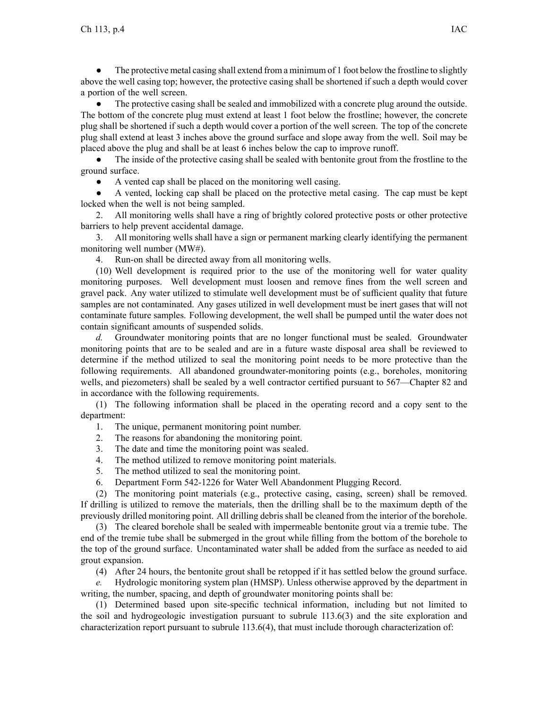● The protective metal casing shall extend from <sup>a</sup> minimum of 1 foot below the frostline to slightly above the well casing top; however, the protective casing shall be shortened if such <sup>a</sup> depth would cover <sup>a</sup> portion of the well screen.

● The protective casing shall be sealed and immobilized with <sup>a</sup> concrete plug around the outside. The bottom of the concrete plug must extend at least 1 foot below the frostline; however, the concrete plug shall be shortened if such <sup>a</sup> depth would cover <sup>a</sup> portion of the well screen. The top of the concrete plug shall extend at least 3 inches above the ground surface and slope away from the well. Soil may be placed above the plug and shall be at least 6 inches below the cap to improve runoff.

● The inside of the protective casing shall be sealed with bentonite grou<sup>t</sup> from the frostline to the ground surface.

●A vented cap shall be placed on the monitoring well casing.

● A vented, locking cap shall be placed on the protective metal casing. The cap must be kept locked when the well is not being sampled.

2. All monitoring wells shall have <sup>a</sup> ring of brightly colored protective posts or other protective barriers to help preven<sup>t</sup> accidental damage.

3. All monitoring wells shall have <sup>a</sup> sign or permanen<sup>t</sup> marking clearly identifying the permanen<sup>t</sup> monitoring well number (MW#).

4. Run-on shall be directed away from all monitoring wells.

(10) Well development is required prior to the use of the monitoring well for water quality monitoring purposes. Well development must loosen and remove fines from the well screen and gravel pack. Any water utilized to stimulate well development must be of sufficient quality that future samples are not contaminated. Any gases utilized in well development must be inert gases that will not contaminate future samples. Following development, the well shall be pumped until the water does not contain significant amounts of suspended solids.

*d.* Groundwater monitoring points that are no longer functional must be sealed. Groundwater monitoring points that are to be sealed and are in <sup>a</sup> future waste disposal area shall be reviewed to determine if the method utilized to seal the monitoring point needs to be more protective than the following requirements. All abandoned groundwater-monitoring points (e.g., boreholes, monitoring wells, and piezometers) shall be sealed by <sup>a</sup> well contractor certified pursuan<sup>t</sup> to 567—Chapter 82 and in accordance with the following requirements.

(1) The following information shall be placed in the operating record and <sup>a</sup> copy sent to the department:

- 1. The unique, permanen<sup>t</sup> monitoring point number.
- 2. The reasons for abandoning the monitoring point.
- 3. The date and time the monitoring point was sealed.
- 4. The method utilized to remove monitoring point materials.
- 5. The method utilized to seal the monitoring point.
- 6. Department Form 542-1226 for Water Well Abandonment Plugging Record.

(2) The monitoring point materials (e.g., protective casing, casing, screen) shall be removed. If drilling is utilized to remove the materials, then the drilling shall be to the maximum depth of the previously drilled monitoring point. All drilling debris shall be cleaned from the interior of the borehole.

(3) The cleared borehole shall be sealed with impermeable bentonite grou<sup>t</sup> via <sup>a</sup> tremie tube. The end of the tremie tube shall be submerged in the grou<sup>t</sup> while filling from the bottom of the borehole to the top of the ground surface. Uncontaminated water shall be added from the surface as needed to aid grou<sup>t</sup> expansion.

(4) After 24 hours, the bentonite grou<sup>t</sup> shall be retopped if it has settled below the ground surface.

*e.* Hydrologic monitoring system plan (HMSP). Unless otherwise approved by the department in writing, the number, spacing, and depth of groundwater monitoring points shall be:

(1) Determined based upon site-specific technical information, including but not limited to the soil and hydrogeologic investigation pursuan<sup>t</sup> to subrule 113.6(3) and the site exploration and characterization repor<sup>t</sup> pursuan<sup>t</sup> to subrule 113.6(4), that must include thorough characterization of: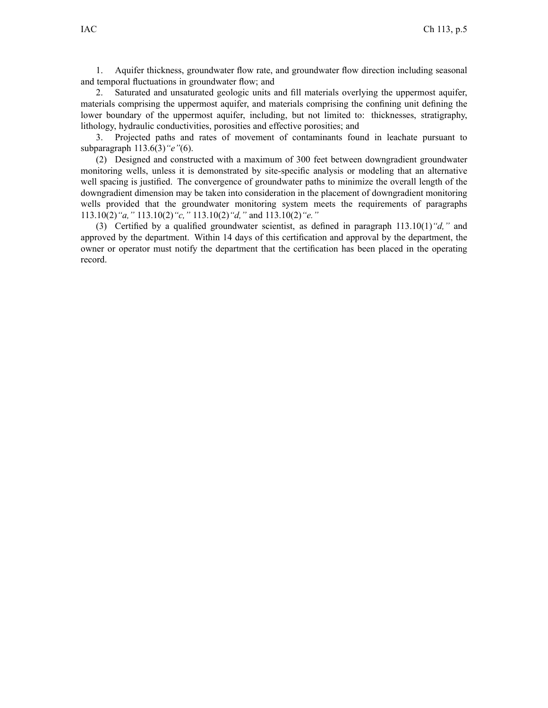1. Aquifer thickness, groundwater flow rate, and groundwater flow direction including seasonal and temporal fluctuations in groundwater flow; and

2. Saturated and unsaturated geologic units and fill materials overlying the uppermos<sup>t</sup> aquifer, materials comprising the uppermos<sup>t</sup> aquifer, and materials comprising the confining unit defining the lower boundary of the uppermos<sup>t</sup> aquifer, including, but not limited to: thicknesses, stratigraphy, lithology, hydraulic conductivities, porosities and effective porosities; and

3. Projected paths and rates of movement of contaminants found in leachate pursuan<sup>t</sup> to subparagraph 113.6(3)*"e"*(6).

(2) Designed and constructed with <sup>a</sup> maximum of 300 feet between downgradient groundwater monitoring wells, unless it is demonstrated by site-specific analysis or modeling that an alternative well spacing is justified. The convergence of groundwater paths to minimize the overall length of the downgradient dimension may be taken into consideration in the placement of downgradient monitoring wells provided that the groundwater monitoring system meets the requirements of paragraphs 113.10(2)*"a,"* 113.10(2)*"c,"* 113.10(2)*"d,"* and 113.10(2)*"e."*

(3) Certified by <sup>a</sup> qualified groundwater scientist, as defined in paragraph 113.10(1)*"d,"* and approved by the department. Within 14 days of this certification and approval by the department, the owner or operator must notify the department that the certification has been placed in the operating record.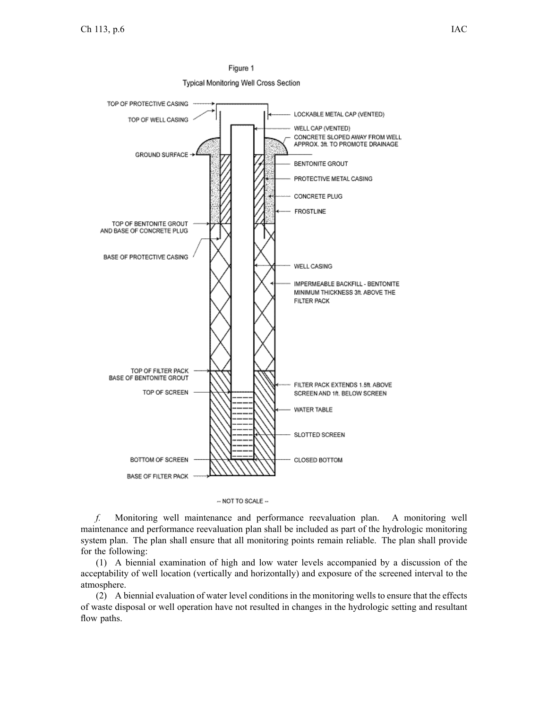

Figure 1

-- NOT TO SCALE --

*f.* Monitoring well maintenance and performance reevaluation plan. A monitoring well maintenance and performance reevaluation plan shall be included as par<sup>t</sup> of the hydrologic monitoring system plan. The plan shall ensure that all monitoring points remain reliable. The plan shall provide for the following:

(1) A biennial examination of high and low water levels accompanied by <sup>a</sup> discussion of the acceptability of well location (vertically and horizontally) and exposure of the screened interval to the atmosphere.

(2) A biennial evaluation of water level conditions in the monitoring wells to ensure that the effects of waste disposal or well operation have not resulted in changes in the hydrologic setting and resultant flow paths.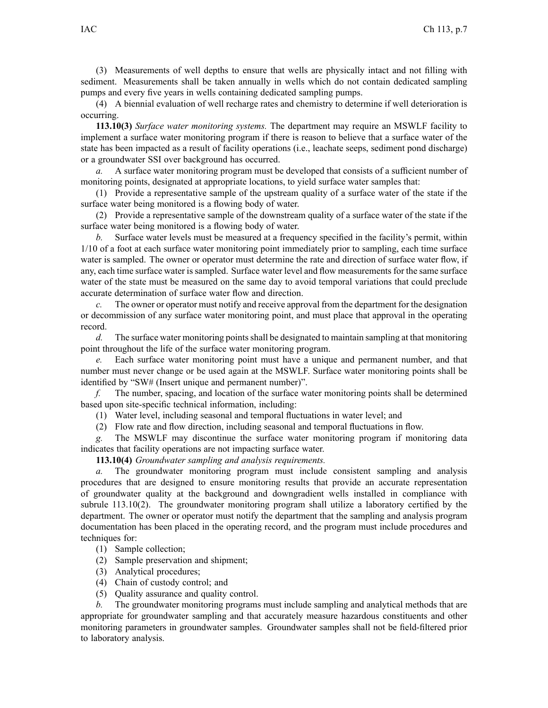(3) Measurements of well depths to ensure that wells are physically intact and not filling with sediment. Measurements shall be taken annually in wells which do not contain dedicated sampling pumps and every five years in wells containing dedicated sampling pumps.

(4) A biennial evaluation of well recharge rates and chemistry to determine if well deterioration is occurring.

**113.10(3)** *Surface water monitoring systems.* The department may require an MSWLF facility to implement <sup>a</sup> surface water monitoring program if there is reason to believe that <sup>a</sup> surface water of the state has been impacted as <sup>a</sup> result of facility operations (i.e., leachate seeps, sediment pond discharge) or <sup>a</sup> groundwater SSI over background has occurred.

*a.* A surface water monitoring program must be developed that consists of <sup>a</sup> sufficient number of monitoring points, designated at appropriate locations, to yield surface water samples that:

(1) Provide <sup>a</sup> representative sample of the upstream quality of <sup>a</sup> surface water of the state if the surface water being monitored is <sup>a</sup> flowing body of water.

(2) Provide <sup>a</sup> representative sample of the downstream quality of <sup>a</sup> surface water of the state if the surface water being monitored is <sup>a</sup> flowing body of water.

*b.* Surface water levels must be measured at <sup>a</sup> frequency specified in the facility's permit, within 1/10 of <sup>a</sup> foot at each surface water monitoring point immediately prior to sampling, each time surface water is sampled. The owner or operator must determine the rate and direction of surface water flow, if any, each time surface water is sampled. Surface water level and flow measurements for the same surface water of the state must be measured on the same day to avoid temporal variations that could preclude accurate determination of surface water flow and direction.

*c.* The owner or operator must notify and receive approval from the department for the designation or decommission of any surface water monitoring point, and must place that approval in the operating record.

*d.* The surface water monitoring pointsshall be designated to maintain sampling at that monitoring point throughout the life of the surface water monitoring program.

*e.* Each surface water monitoring point must have <sup>a</sup> unique and permanen<sup>t</sup> number, and that number must never change or be used again at the MSWLF. Surface water monitoring points shall be identified by "SW# (Insert unique and permanen<sup>t</sup> number)".

*f.* The number, spacing, and location of the surface water monitoring points shall be determined based upon site-specific technical information, including:

(1) Water level, including seasonal and temporal fluctuations in water level; and

(2) Flow rate and flow direction, including seasonal and temporal fluctuations in flow.

*g.* The MSWLF may discontinue the surface water monitoring program if monitoring data indicates that facility operations are not impacting surface water.

**113.10(4)** *Groundwater sampling and analysis requirements.*

*a.* The groundwater monitoring program must include consistent sampling and analysis procedures that are designed to ensure monitoring results that provide an accurate representation of groundwater quality at the background and downgradient wells installed in compliance with subrule 113.10(2). The groundwater monitoring program shall utilize <sup>a</sup> laboratory certified by the department. The owner or operator must notify the department that the sampling and analysis program documentation has been placed in the operating record, and the program must include procedures and techniques for:

- (1) Sample collection;
- (2) Sample preservation and shipment;
- (3) Analytical procedures;
- (4) Chain of custody control; and
- (5) Quality assurance and quality control.

*b.* The groundwater monitoring programs must include sampling and analytical methods that are appropriate for groundwater sampling and that accurately measure hazardous constituents and other monitoring parameters in groundwater samples. Groundwater samples shall not be field-filtered prior to laboratory analysis.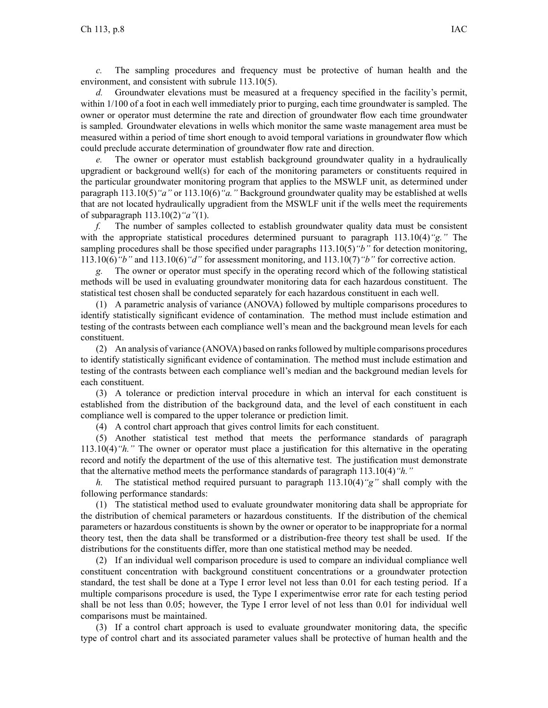*c.* The sampling procedures and frequency must be protective of human health and the environment, and consistent with subrule 113.10(5).

*d.* Groundwater elevations must be measured at <sup>a</sup> frequency specified in the facility's permit, within 1/100 of a foot in each well immediately prior to purging, each time groundwater is sampled. The owner or operator must determine the rate and direction of groundwater flow each time groundwater is sampled. Groundwater elevations in wells which monitor the same waste managemen<sup>t</sup> area must be measured within <sup>a</sup> period of time short enough to avoid temporal variations in groundwater flow which could preclude accurate determination of groundwater flow rate and direction.

*e.* The owner or operator must establish background groundwater quality in <sup>a</sup> hydraulically upgradient or background well(s) for each of the monitoring parameters or constituents required in the particular groundwater monitoring program that applies to the MSWLF unit, as determined under paragraph 113.10(5)*"a"* or 113.10(6)*"a."* Background groundwater quality may be established at wells that are not located hydraulically upgradient from the MSWLF unit if the wells meet the requirements of subparagraph 113.10(2)*"a"*(1).

*f.* The number of samples collected to establish groundwater quality data must be consistent with the appropriate statistical procedures determined pursuan<sup>t</sup> to paragraph 113.10(4)*"g."* The sampling procedures shall be those specified under paragraphs 113.10(5)*"b"* for detection monitoring, 113.10(6)*"b"* and 113.10(6)*"d"* for assessment monitoring, and 113.10(7)*"b"* for corrective action.

*g.* The owner or operator must specify in the operating record which of the following statistical methods will be used in evaluating groundwater monitoring data for each hazardous constituent. The statistical test chosen shall be conducted separately for each hazardous constituent in each well.

(1) A parametric analysis of variance (ANOVA) followed by multiple comparisons procedures to identify statistically significant evidence of contamination. The method must include estimation and testing of the contrasts between each compliance well's mean and the background mean levels for each constituent.

(2) An analysis of variance (ANOVA) based on ranksfollowed by multiple comparisons procedures to identify statistically significant evidence of contamination. The method must include estimation and testing of the contrasts between each compliance well's median and the background median levels for each constituent.

(3) A tolerance or prediction interval procedure in which an interval for each constituent is established from the distribution of the background data, and the level of each constituent in each compliance well is compared to the upper tolerance or prediction limit.

(4) A control chart approach that gives control limits for each constituent.

(5) Another statistical test method that meets the performance standards of paragraph 113.10(4)*"h."* The owner or operator must place <sup>a</sup> justification for this alternative in the operating record and notify the department of the use of this alternative test. The justification must demonstrate that the alternative method meets the performance standards of paragraph 113.10(4)*"h."*

*h.* The statistical method required pursuan<sup>t</sup> to paragraph 113.10(4)*"g"* shall comply with the following performance standards:

(1) The statistical method used to evaluate groundwater monitoring data shall be appropriate for the distribution of chemical parameters or hazardous constituents. If the distribution of the chemical parameters or hazardous constituents is shown by the owner or operator to be inappropriate for <sup>a</sup> normal theory test, then the data shall be transformed or <sup>a</sup> distribution-free theory test shall be used. If the distributions for the constituents differ, more than one statistical method may be needed.

(2) If an individual well comparison procedure is used to compare an individual compliance well constituent concentration with background constituent concentrations or <sup>a</sup> groundwater protection standard, the test shall be done at <sup>a</sup> Type I error level not less than 0.01 for each testing period. If <sup>a</sup> multiple comparisons procedure is used, the Type I experimentwise error rate for each testing period shall be not less than 0.05; however, the Type I error level of not less than 0.01 for individual well comparisons must be maintained.

(3) If <sup>a</sup> control chart approach is used to evaluate groundwater monitoring data, the specific type of control chart and its associated parameter values shall be protective of human health and the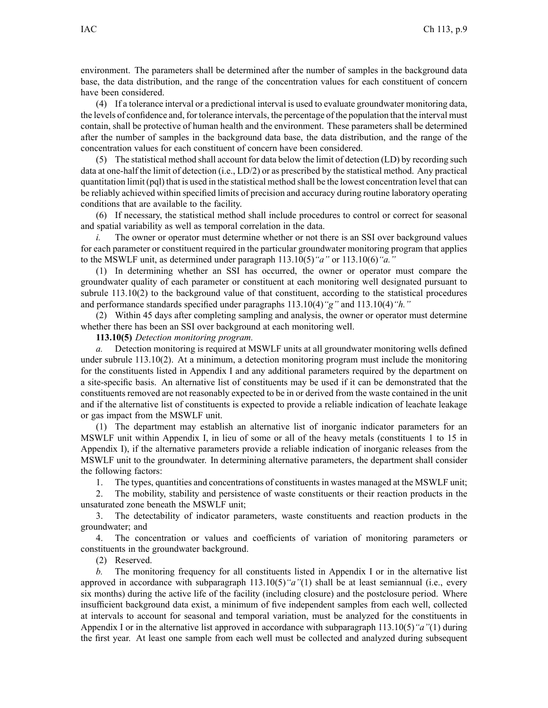environment. The parameters shall be determined after the number of samples in the background data base, the data distribution, and the range of the concentration values for each constituent of concern have been considered.

(4) If <sup>a</sup> tolerance interval or <sup>a</sup> predictional interval is used to evaluate groundwater monitoring data, the levels of confidence and, for tolerance intervals, the percentage of the population that the interval must contain, shall be protective of human health and the environment. These parameters shall be determined after the number of samples in the background data base, the data distribution, and the range of the concentration values for each constituent of concern have been considered.

(5) The statistical method shall account for data below the limit of detection (LD) by recording such data at one-half the limit of detection (i.e., LD/2) or as prescribed by the statistical method. Any practical quantitation limit (pql) that is used in the statistical method shall be the lowest concentration level that can be reliably achieved within specified limits of precision and accuracy during routine laboratory operating conditions that are available to the facility.

(6) If necessary, the statistical method shall include procedures to control or correct for seasonal and spatial variability as well as temporal correlation in the data.

*i.* The owner or operator must determine whether or not there is an SSI over background values for each parameter or constituent required in the particular groundwater monitoring program that applies to the MSWLF unit, as determined under paragraph 113.10(5)*"a"* or 113.10(6)*"a."*

(1) In determining whether an SSI has occurred, the owner or operator must compare the groundwater quality of each parameter or constituent at each monitoring well designated pursuan<sup>t</sup> to subrule 113.10(2) to the background value of that constituent, according to the statistical procedures and performance standards specified under paragraphs 113.10(4)*"g"* and 113.10(4)*"h."*

(2) Within 45 days after completing sampling and analysis, the owner or operator must determine whether there has been an SSI over background at each monitoring well.

**113.10(5)** *Detection monitoring program.*

*a.* Detection monitoring is required at MSWLF units at all groundwater monitoring wells defined under subrule 113.10(2). At <sup>a</sup> minimum, <sup>a</sup> detection monitoring program must include the monitoring for the constituents listed in Appendix I and any additional parameters required by the department on <sup>a</sup> site-specific basis. An alternative list of constituents may be used if it can be demonstrated that the constituents removed are not reasonably expected to be in or derived from the waste contained in the unit and if the alternative list of constituents is expected to provide <sup>a</sup> reliable indication of leachate leakage or gas impact from the MSWLF unit.

(1) The department may establish an alternative list of inorganic indicator parameters for an MSWLF unit within Appendix I, in lieu of some or all of the heavy metals (constituents 1 to 15 in Appendix I), if the alternative parameters provide <sup>a</sup> reliable indication of inorganic releases from the MSWLF unit to the groundwater. In determining alternative parameters, the department shall consider the following factors:

1. The types, quantities and concentrations of constituents in wastes managed at the MSWLF unit;

2. The mobility, stability and persistence of waste constituents or their reaction products in the unsaturated zone beneath the MSWLF unit;

3. The detectability of indicator parameters, waste constituents and reaction products in the groundwater; and

4. The concentration or values and coefficients of variation of monitoring parameters or constituents in the groundwater background.

(2) Reserved.

*b.* The monitoring frequency for all constituents listed in Appendix I or in the alternative list approved in accordance with subparagraph 113.10(5)*"a"*(1) shall be at least semiannual (i.e., every six months) during the active life of the facility (including closure) and the postclosure period. Where insufficient background data exist, <sup>a</sup> minimum of five independent samples from each well, collected at intervals to account for seasonal and temporal variation, must be analyzed for the constituents in Appendix I or in the alternative list approved in accordance with subparagraph 113.10(5)*"a"*(1) during the first year. At least one sample from each well must be collected and analyzed during subsequent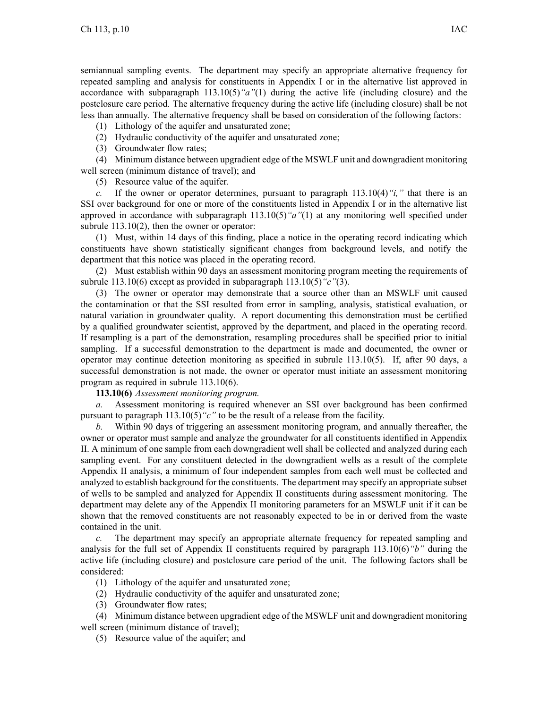semiannual sampling events. The department may specify an appropriate alternative frequency for repeated sampling and analysis for constituents in Appendix I or in the alternative list approved in accordance with subparagraph 113.10(5)*"a"*(1) during the active life (including closure) and the postclosure care period. The alternative frequency during the active life (including closure) shall be not less than annually. The alternative frequency shall be based on consideration of the following factors:

- (1) Lithology of the aquifer and unsaturated zone;
- (2) Hydraulic conductivity of the aquifer and unsaturated zone;
- (3) Groundwater flow rates;

(4) Minimum distance between upgradient edge of the MSWLF unit and downgradient monitoring well screen (minimum distance of travel); and

(5) Resource value of the aquifer.

*c.* If the owner or operator determines, pursuan<sup>t</sup> to paragraph 113.10(4)*"i,"* that there is an SSI over background for one or more of the constituents listed in Appendix I or in the alternative list approved in accordance with subparagraph 113.10(5)*"a"*(1) at any monitoring well specified under subrule 113.10(2), then the owner or operator:

(1) Must, within 14 days of this finding, place <sup>a</sup> notice in the operating record indicating which constituents have shown statistically significant changes from background levels, and notify the department that this notice was placed in the operating record.

(2) Must establish within 90 days an assessment monitoring program meeting the requirements of subrule 113.10(6) excep<sup>t</sup> as provided in subparagraph 113.10(5)*"c"*(3).

(3) The owner or operator may demonstrate that <sup>a</sup> source other than an MSWLF unit caused the contamination or that the SSI resulted from error in sampling, analysis, statistical evaluation, or natural variation in groundwater quality. A repor<sup>t</sup> documenting this demonstration must be certified by <sup>a</sup> qualified groundwater scientist, approved by the department, and placed in the operating record. If resampling is <sup>a</sup> par<sup>t</sup> of the demonstration, resampling procedures shall be specified prior to initial sampling. If <sup>a</sup> successful demonstration to the department is made and documented, the owner or operator may continue detection monitoring as specified in subrule 113.10(5). If, after 90 days, <sup>a</sup> successful demonstration is not made, the owner or operator must initiate an assessment monitoring program as required in subrule 113.10(6).

**113.10(6)** *Assessment monitoring program.*

*a.* Assessment monitoring is required whenever an SSI over background has been confirmed pursuan<sup>t</sup> to paragraph 113.10(5)*"c"* to be the result of <sup>a</sup> release from the facility.

*b.* Within 90 days of triggering an assessment monitoring program, and annually thereafter, the owner or operator must sample and analyze the groundwater for all constituents identified in Appendix II. Aminimum of one sample from each downgradient well shall be collected and analyzed during each sampling event. For any constituent detected in the downgradient wells as a result of the complete Appendix II analysis, <sup>a</sup> minimum of four independent samples from each well must be collected and analyzed to establish background for the constituents. The department may specify an appropriate subset of wells to be sampled and analyzed for Appendix II constituents during assessment monitoring. The department may delete any of the Appendix II monitoring parameters for an MSWLF unit if it can be shown that the removed constituents are not reasonably expected to be in or derived from the waste contained in the unit.

*c.* The department may specify an appropriate alternate frequency for repeated sampling and analysis for the full set of Appendix II constituents required by paragraph 113.10(6)*"b"* during the active life (including closure) and postclosure care period of the unit. The following factors shall be considered:

- (1) Lithology of the aquifer and unsaturated zone;
- (2) Hydraulic conductivity of the aquifer and unsaturated zone;
- (3) Groundwater flow rates;

(4) Minimum distance between upgradient edge of the MSWLF unit and downgradient monitoring well screen (minimum distance of travel);

(5) Resource value of the aquifer; and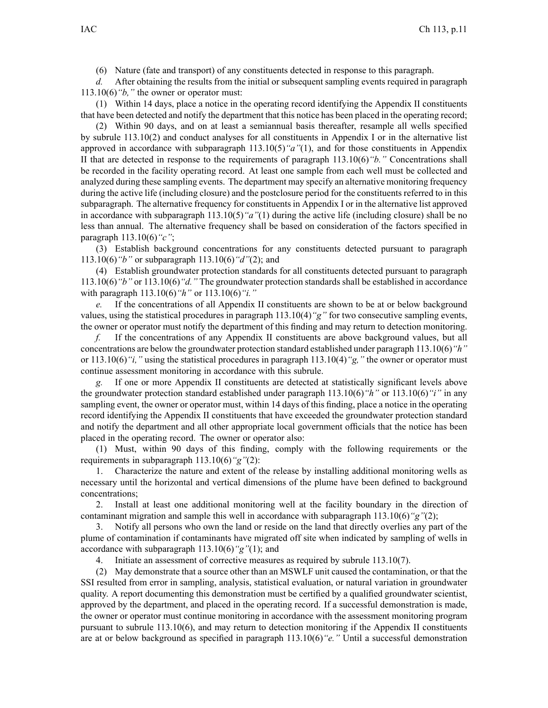(6) Nature (fate and transport) of any constituents detected in response to this paragraph.

*d.* After obtaining the results from the initial or subsequent sampling events required in paragraph 113.10(6)*"b,"* the owner or operator must:

(1) Within 14 days, place <sup>a</sup> notice in the operating record identifying the Appendix II constituents that have been detected and notify the department that this notice has been placed in the operating record;

(2) Within 90 days, and on at least <sup>a</sup> semiannual basis thereafter, resample all wells specified by subrule 113.10(2) and conduct analyses for all constituents in Appendix I or in the alternative list approved in accordance with subparagraph 113.10(5)*"a"*(1), and for those constituents in Appendix II that are detected in response to the requirements of paragraph 113.10(6)*"b."* Concentrations shall be recorded in the facility operating record. At least one sample from each well must be collected and analyzed during these sampling events. The department may specify an alternative monitoring frequency during the active life (including closure) and the postclosure period for the constituents referred to in this subparagraph. The alternative frequency for constituents in Appendix I or in the alternative list approved in accordance with subparagraph 113.10(5)*"a"*(1) during the active life (including closure) shall be no less than annual. The alternative frequency shall be based on consideration of the factors specified in paragraph 113.10(6)*"c"*;

(3) Establish background concentrations for any constituents detected pursuan<sup>t</sup> to paragraph 113.10(6)*"b"* or subparagraph 113.10(6)*"d"*(2); and

(4) Establish groundwater protection standards for all constituents detected pursuan<sup>t</sup> to paragraph 113.10(6)*"b"* or 113.10(6)*"d."* The groundwater protection standards shall be established in accordance with paragraph 113.10(6)*"h"* or 113.10(6)*"i."*

*e.* If the concentrations of all Appendix II constituents are shown to be at or below background values, using the statistical procedures in paragraph 113.10(4)*"g"* for two consecutive sampling events, the owner or operator must notify the department of this finding and may return to detection monitoring.

*f.* If the concentrations of any Appendix II constituents are above background values, but all concentrations are below the groundwater protection standard established under paragraph 113.10(6)*"h"* or 113.10(6)*"i,"* using the statistical procedures in paragraph 113.10(4)*"g,"* the owner or operator must continue assessment monitoring in accordance with this subrule.

*g.* If one or more Appendix II constituents are detected at statistically significant levels above the groundwater protection standard established under paragraph 113.10(6)*"h"* or 113.10(6)*"i"* in any sampling event, the owner or operator must, within 14 days of this finding, place <sup>a</sup> notice in the operating record identifying the Appendix II constituents that have exceeded the groundwater protection standard and notify the department and all other appropriate local governmen<sup>t</sup> officials that the notice has been placed in the operating record. The owner or operator also:

(1) Must, within 90 days of this finding, comply with the following requirements or the requirements in subparagraph 113.10(6)*"g"*(2):

1. Characterize the nature and extent of the release by installing additional monitoring wells as necessary until the horizontal and vertical dimensions of the plume have been defined to background concentrations;

2. Install at least one additional monitoring well at the facility boundary in the direction of contaminant migration and sample this well in accordance with subparagraph 113.10(6)*"g"*(2);

Notify all persons who own the land or reside on the land that directly overlies any part of the plume of contamination if contaminants have migrated off site when indicated by sampling of wells in accordance with subparagraph 113.10(6)*"g"*(1); and

4. Initiate an assessment of corrective measures as required by subrule 113.10(7).

(2) May demonstrate that <sup>a</sup> source other than an MSWLF unit caused the contamination, or that the SSI resulted from error in sampling, analysis, statistical evaluation, or natural variation in groundwater quality. A repor<sup>t</sup> documenting this demonstration must be certified by <sup>a</sup> qualified groundwater scientist, approved by the department, and placed in the operating record. If <sup>a</sup> successful demonstration is made, the owner or operator must continue monitoring in accordance with the assessment monitoring program pursuan<sup>t</sup> to subrule 113.10(6), and may return to detection monitoring if the Appendix II constituents are at or below background as specified in paragraph 113.10(6)*"e."* Until <sup>a</sup> successful demonstration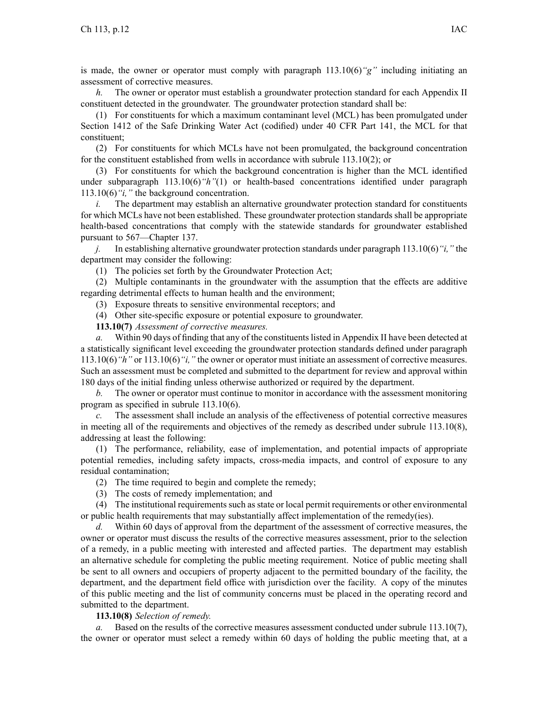is made, the owner or operator must comply with paragraph 113.10(6)*"g"* including initiating an assessment of corrective measures.

*h.* The owner or operator must establish a groundwater protection standard for each Appendix II constituent detected in the groundwater. The groundwater protection standard shall be:

(1) For constituents for which <sup>a</sup> maximum contaminant level (MCL) has been promulgated under Section 1412 of the Safe Drinking Water Act (codified) under 40 CFR Part 141, the MCL for that constituent;

(2) For constituents for which MCLs have not been promulgated, the background concentration for the constituent established from wells in accordance with subrule 113.10(2); or

(3) For constituents for which the background concentration is higher than the MCL identified under subparagraph 113.10(6)*"h"*(1) or health-based concentrations identified under paragraph 113.10(6)*"i,"* the background concentration.

*i.* The department may establish an alternative groundwater protection standard for constituents for which MCLs have not been established. These groundwater protection standards shall be appropriate health-based concentrations that comply with the statewide standards for groundwater established pursuan<sup>t</sup> to 567—Chapter 137.

*j.* In establishing alternative groundwater protection standards under paragraph 113.10(6)*"i,"* the department may consider the following:

(1) The policies set forth by the Groundwater Protection Act;

(2) Multiple contaminants in the groundwater with the assumption that the effects are additive regarding detrimental effects to human health and the environment;

(3) Exposure threats to sensitive environmental receptors; and

(4) Other site-specific exposure or potential exposure to groundwater.

**113.10(7)** *Assessment of corrective measures.*

*a.* Within 90 days of finding that any of the constituents listed in Appendix II have been detected at <sup>a</sup> statistically significant level exceeding the groundwater protection standards defined under paragraph 113.10(6)*"h"* or 113.10(6)*"i,"* the owner or operator must initiate an assessment of corrective measures. Such an assessment must be completed and submitted to the department for review and approval within 180 days of the initial finding unless otherwise authorized or required by the department.

*b.* The owner or operator must continue to monitor in accordance with the assessment monitoring program as specified in subrule 113.10(6).

*c.* The assessment shall include an analysis of the effectiveness of potential corrective measures in meeting all of the requirements and objectives of the remedy as described under subrule 113.10(8), addressing at least the following:

(1) The performance, reliability, ease of implementation, and potential impacts of appropriate potential remedies, including safety impacts, cross-media impacts, and control of exposure to any residual contamination;

(2) The time required to begin and complete the remedy;

(3) The costs of remedy implementation; and

(4) The institutional requirementssuch asstate or local permit requirements or other environmental or public health requirements that may substantially affect implementation of the remedy(ies).

*d.* Within 60 days of approval from the department of the assessment of corrective measures, the owner or operator must discuss the results of the corrective measures assessment, prior to the selection of <sup>a</sup> remedy, in <sup>a</sup> public meeting with interested and affected parties. The department may establish an alternative schedule for completing the public meeting requirement. Notice of public meeting shall be sent to all owners and occupiers of property adjacent to the permitted boundary of the facility, the department, and the department field office with jurisdiction over the facility. A copy of the minutes of this public meeting and the list of community concerns must be placed in the operating record and submitted to the department.

**113.10(8)** *Selection of remedy.*

*a.* Based on the results of the corrective measures assessment conducted under subrule 113.10(7), the owner or operator must select <sup>a</sup> remedy within 60 days of holding the public meeting that, at <sup>a</sup>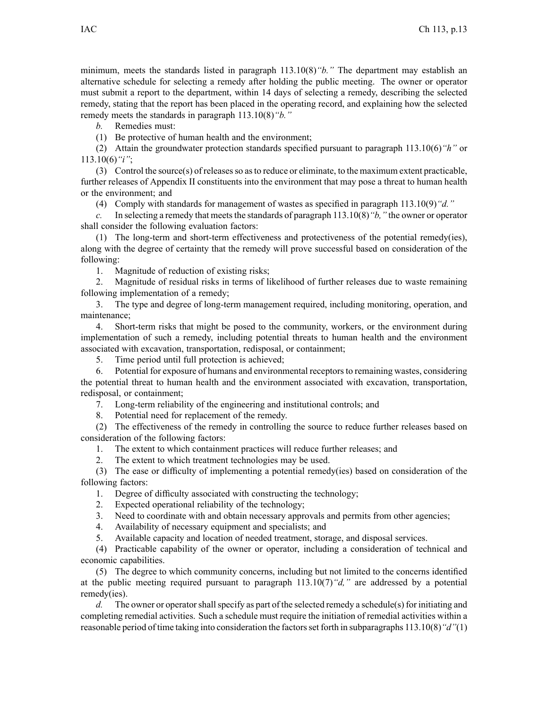minimum, meets the standards listed in paragraph 113.10(8)*"b."* The department may establish an alternative schedule for selecting <sup>a</sup> remedy after holding the public meeting. The owner or operator must submit <sup>a</sup> repor<sup>t</sup> to the department, within 14 days of selecting <sup>a</sup> remedy, describing the selected remedy, stating that the repor<sup>t</sup> has been placed in the operating record, and explaining how the selected remedy meets the standards in paragraph 113.10(8)*"b."*

*b.* Remedies must:

(1) Be protective of human health and the environment;

(2) Attain the groundwater protection standards specified pursuan<sup>t</sup> to paragraph 113.10(6)*"h"* or 113.10(6)*"i"*;

(3) Control the source(s) of releasesso asto reduce or eliminate, to the maximum extent practicable, further releases of Appendix II constituents into the environment that may pose <sup>a</sup> threat to human health or the environment; and

(4) Comply with standards for managemen<sup>t</sup> of wastes as specified in paragraph 113.10(9)*"d."*

*c.* In selecting a remedy that meets the standards of paragraph 113.10(8) "*b*," the owner or operator shall consider the following evaluation factors:

(1) The long-term and short-term effectiveness and protectiveness of the potential remedy(ies), along with the degree of certainty that the remedy will prove successful based on consideration of the following:

1. Magnitude of reduction of existing risks;

2. Magnitude of residual risks in terms of likelihood of further releases due to waste remaining following implementation of <sup>a</sup> remedy;

3. The type and degree of long-term managemen<sup>t</sup> required, including monitoring, operation, and maintenance;

4. Short-term risks that might be posed to the community, workers, or the environment during implementation of such <sup>a</sup> remedy, including potential threats to human health and the environment associated with excavation, transportation, redisposal, or containment;

5. Time period until full protection is achieved;

6. Potential for exposure of humans and environmental receptorsto remaining wastes, considering the potential threat to human health and the environment associated with excavation, transportation, redisposal, or containment;

7. Long-term reliability of the engineering and institutional controls; and

8. Potential need for replacement of the remedy.

(2) The effectiveness of the remedy in controlling the source to reduce further releases based on consideration of the following factors:

1. The extent to which containment practices will reduce further releases; and

2. The extent to which treatment technologies may be used.

(3) The ease or difficulty of implementing <sup>a</sup> potential remedy(ies) based on consideration of the following factors:

1. Degree of difficulty associated with constructing the technology;

2. Expected operational reliability of the technology;

3. Need to coordinate with and obtain necessary approvals and permits from other agencies;

4. Availability of necessary equipment and specialists; and

5. Available capacity and location of needed treatment, storage, and disposal services.

(4) Practicable capability of the owner or operator, including <sup>a</sup> consideration of technical and economic capabilities.

(5) The degree to which community concerns, including but not limited to the concerns identified at the public meeting required pursuan<sup>t</sup> to paragraph 113.10(7)*"d,"* are addressed by <sup>a</sup> potential remedy(ies).

*d.* The owner or operator shall specify as part of the selected remedy a schedule(s) for initiating and completing remedial activities. Such <sup>a</sup> schedule must require the initiation of remedial activities within <sup>a</sup> reasonable period of time taking into consideration the factorsset forth in subparagraphs 113.10(8)*"d"*(1)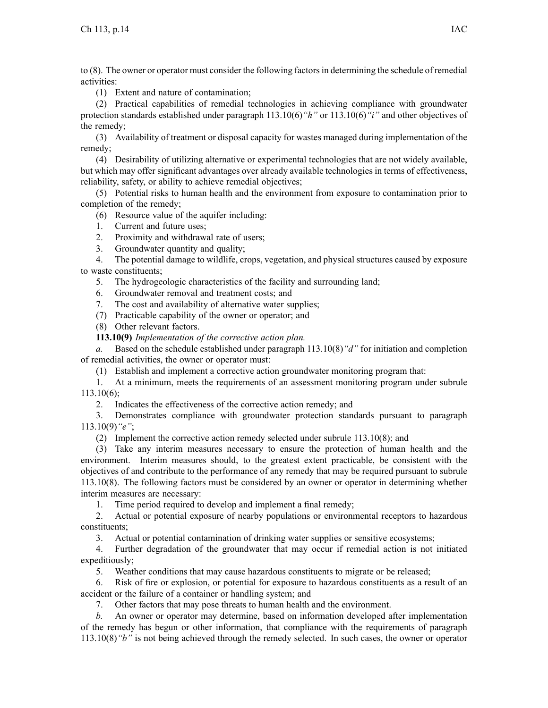to (8). The owner or operator must consider the following factorsin determining the schedule of remedial activities:

(1) Extent and nature of contamination;

(2) Practical capabilities of remedial technologies in achieving compliance with groundwater protection standards established under paragraph 113.10(6)*"h"* or 113.10(6)*"i"* and other objectives of the remedy;

(3) Availability of treatment or disposal capacity for wastes managed during implementation of the remedy;

(4) Desirability of utilizing alternative or experimental technologies that are not widely available, but which may offer significant advantages over already available technologies in terms of effectiveness, reliability, safety, or ability to achieve remedial objectives;

(5) Potential risks to human health and the environment from exposure to contamination prior to completion of the remedy;

- (6) Resource value of the aquifer including:
- 1. Current and future uses;
- 2. Proximity and withdrawal rate of users;
- 3. Groundwater quantity and quality;

4. The potential damage to wildlife, crops, vegetation, and physical structures caused by exposure to waste constituents;

- 5. The hydrogeologic characteristics of the facility and surrounding land;
- 6. Groundwater removal and treatment costs; and
- 7. The cost and availability of alternative water supplies;
- (7) Practicable capability of the owner or operator; and
- (8) Other relevant factors.
- **113.10(9)** *Implementation of the corrective action plan.*

*a.* Based on the schedule established under paragraph 113.10(8)*"d"* for initiation and completion of remedial activities, the owner or operator must:

(1) Establish and implement <sup>a</sup> corrective action groundwater monitoring program that:

1. At <sup>a</sup> minimum, meets the requirements of an assessment monitoring program under subrule 113.10(6);

2. Indicates the effectiveness of the corrective action remedy; and

3. Demonstrates compliance with groundwater protection standards pursuan<sup>t</sup> to paragraph 113.10(9)*"e"*;

(2) Implement the corrective action remedy selected under subrule 113.10(8); and

(3) Take any interim measures necessary to ensure the protection of human health and the environment. Interim measures should, to the greatest extent practicable, be consistent with the objectives of and contribute to the performance of any remedy that may be required pursuan<sup>t</sup> to subrule 113.10(8). The following factors must be considered by an owner or operator in determining whether interim measures are necessary:

1. Time period required to develop and implement <sup>a</sup> final remedy;

2. Actual or potential exposure of nearby populations or environmental receptors to hazardous constituents;

3. Actual or potential contamination of drinking water supplies or sensitive ecosystems;

4. Further degradation of the groundwater that may occur if remedial action is not initiated expeditiously;

5. Weather conditions that may cause hazardous constituents to migrate or be released;

6. Risk of fire or explosion, or potential for exposure to hazardous constituents as <sup>a</sup> result of an accident or the failure of <sup>a</sup> container or handling system; and

7. Other factors that may pose threats to human health and the environment.

*b.* An owner or operator may determine, based on information developed after implementation of the remedy has begun or other information, that compliance with the requirements of paragraph 113.10(8)*"b"* is not being achieved through the remedy selected. In such cases, the owner or operator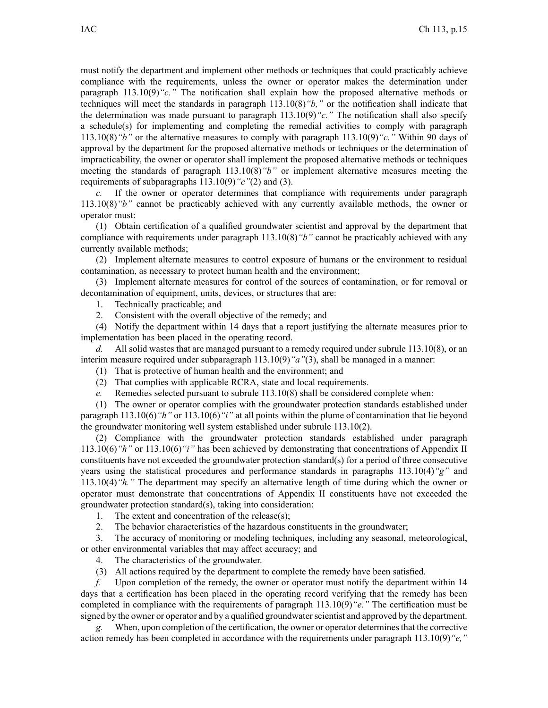must notify the department and implement other methods or techniques that could practicably achieve compliance with the requirements, unless the owner or operator makes the determination under paragraph 113.10(9)*"c."* The notification shall explain how the proposed alternative methods or techniques will meet the standards in paragraph 113.10(8)*"b,"* or the notification shall indicate that the determination was made pursuan<sup>t</sup> to paragraph 113.10(9)*"c."* The notification shall also specify <sup>a</sup> schedule(s) for implementing and completing the remedial activities to comply with paragraph 113.10(8)*"b"* or the alternative measures to comply with paragraph 113.10(9)*"c."* Within 90 days of approval by the department for the proposed alternative methods or techniques or the determination of impracticability, the owner or operator shall implement the proposed alternative methods or techniques meeting the standards of paragraph 113.10(8)*"b"* or implement alternative measures meeting the requirements of subparagraphs 113.10(9)*"c"*(2) and (3).

*c.* If the owner or operator determines that compliance with requirements under paragraph 113.10(8)*"b"* cannot be practicably achieved with any currently available methods, the owner or operator must:

(1) Obtain certification of <sup>a</sup> qualified groundwater scientist and approval by the department that compliance with requirements under paragraph 113.10(8)*"b"* cannot be practicably achieved with any currently available methods;

(2) Implement alternate measures to control exposure of humans or the environment to residual contamination, as necessary to protect human health and the environment;

(3) Implement alternate measures for control of the sources of contamination, or for removal or decontamination of equipment, units, devices, or structures that are:

1. Technically practicable; and

2. Consistent with the overall objective of the remedy; and

(4) Notify the department within 14 days that <sup>a</sup> repor<sup>t</sup> justifying the alternate measures prior to implementation has been placed in the operating record.

*d.* All solid wastes that are managed pursuan<sup>t</sup> to <sup>a</sup> remedy required under subrule 113.10(8), or an interim measure required under subparagraph 113.10(9)*"a"*(3), shall be managed in <sup>a</sup> manner:

- (1) That is protective of human health and the environment; and
- (2) That complies with applicable RCRA, state and local requirements.
- *e.* Remedies selected pursuan<sup>t</sup> to subrule 113.10(8) shall be considered complete when:

(1) The owner or operator complies with the groundwater protection standards established under paragraph 113.10(6)*"h"* or 113.10(6)*"i"* at all points within the plume of contamination that lie beyond the groundwater monitoring well system established under subrule 113.10(2).

(2) Compliance with the groundwater protection standards established under paragraph 113.10(6)*"h"* or 113.10(6)*"i"* has been achieved by demonstrating that concentrations of Appendix II constituents have not exceeded the groundwater protection standard(s) for <sup>a</sup> period of three consecutive years using the statistical procedures and performance standards in paragraphs 113.10(4)*"g"* and 113.10(4)*"h."* The department may specify an alternative length of time during which the owner or operator must demonstrate that concentrations of Appendix II constituents have not exceeded the groundwater protection standard(s), taking into consideration:

1. The extent and concentration of the release(s);

2. The behavior characteristics of the hazardous constituents in the groundwater;

3. The accuracy of monitoring or modeling techniques, including any seasonal, meteorological, or other environmental variables that may affect accuracy; and

- 4. The characteristics of the groundwater.
- (3) All actions required by the department to complete the remedy have been satisfied.

*f.* Upon completion of the remedy, the owner or operator must notify the department within 14 days that <sup>a</sup> certification has been placed in the operating record verifying that the remedy has been completed in compliance with the requirements of paragraph 113.10(9)*"e."* The certification must be signed by the owner or operator and by <sup>a</sup> qualified groundwaterscientist and approved by the department.

*g.* When, upon completion of the certification, the owner or operator determinesthat the corrective action remedy has been completed in accordance with the requirements under paragraph 113.10(9)*"e,"*